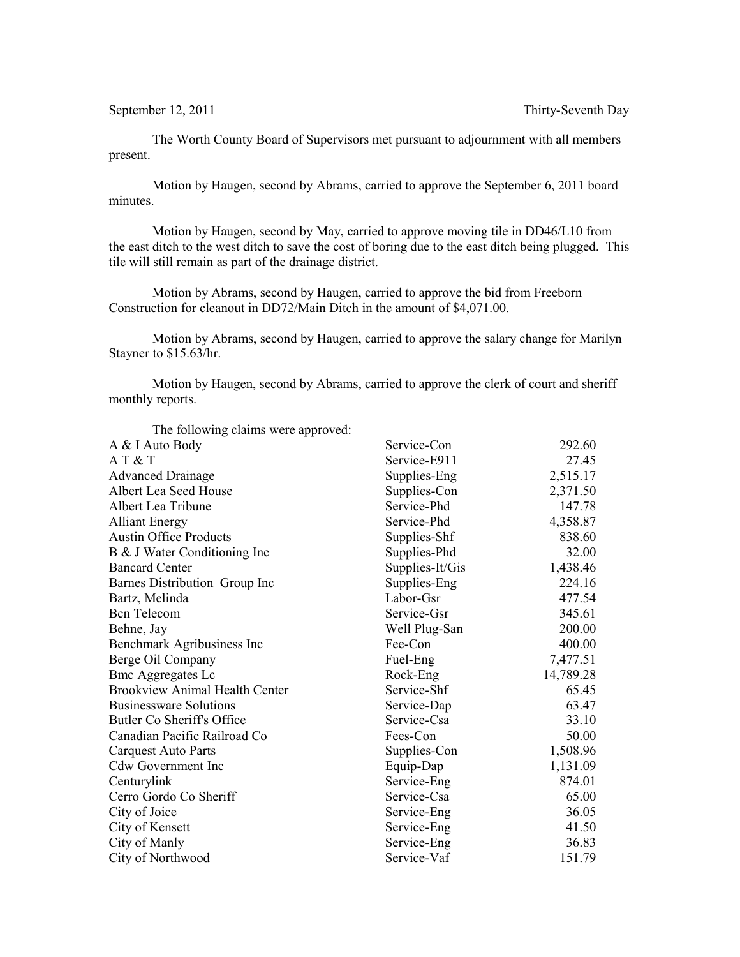The Worth County Board of Supervisors met pursuant to adjournment with all members present.

Motion by Haugen, second by Abrams, carried to approve the September 6, 2011 board minutes.

Motion by Haugen, second by May, carried to approve moving tile in DD46/L10 from the east ditch to the west ditch to save the cost of boring due to the east ditch being plugged. This tile will still remain as part of the drainage district.

Motion by Abrams, second by Haugen, carried to approve the bid from Freeborn Construction for cleanout in DD72/Main Ditch in the amount of \$4,071.00.

Motion by Abrams, second by Haugen, carried to approve the salary change for Marilyn Stayner to \$15.63/hr.

Motion by Haugen, second by Abrams, carried to approve the clerk of court and sheriff monthly reports.

| The following elamns were approved. |           |
|-------------------------------------|-----------|
| Service-Con                         | 292.60    |
| Service-E911                        | 27.45     |
| Supplies-Eng                        | 2,515.17  |
| Supplies-Con                        | 2,371.50  |
| Service-Phd                         | 147.78    |
| Service-Phd                         | 4,358.87  |
| Supplies-Shf                        | 838.60    |
| Supplies-Phd                        | 32.00     |
| Supplies-It/Gis                     | 1,438.46  |
| Supplies-Eng                        | 224.16    |
| Labor-Gsr                           | 477.54    |
| Service-Gsr                         | 345.61    |
| Well Plug-San                       | 200.00    |
| Fee-Con                             | 400.00    |
| Fuel-Eng                            | 7,477.51  |
| Rock-Eng                            | 14,789.28 |
| Service-Shf                         | 65.45     |
| Service-Dap                         | 63.47     |
| Service-Csa                         | 33.10     |
| Fees-Con                            | 50.00     |
| Supplies-Con                        | 1,508.96  |
| Equip-Dap                           | 1,131.09  |
| Service-Eng                         | 874.01    |
| Service-Csa                         | 65.00     |
| Service-Eng                         | 36.05     |
| Service-Eng                         | 41.50     |
| Service-Eng                         | 36.83     |
| Service-Vaf                         | 151.79    |
|                                     |           |

The following claims were approved: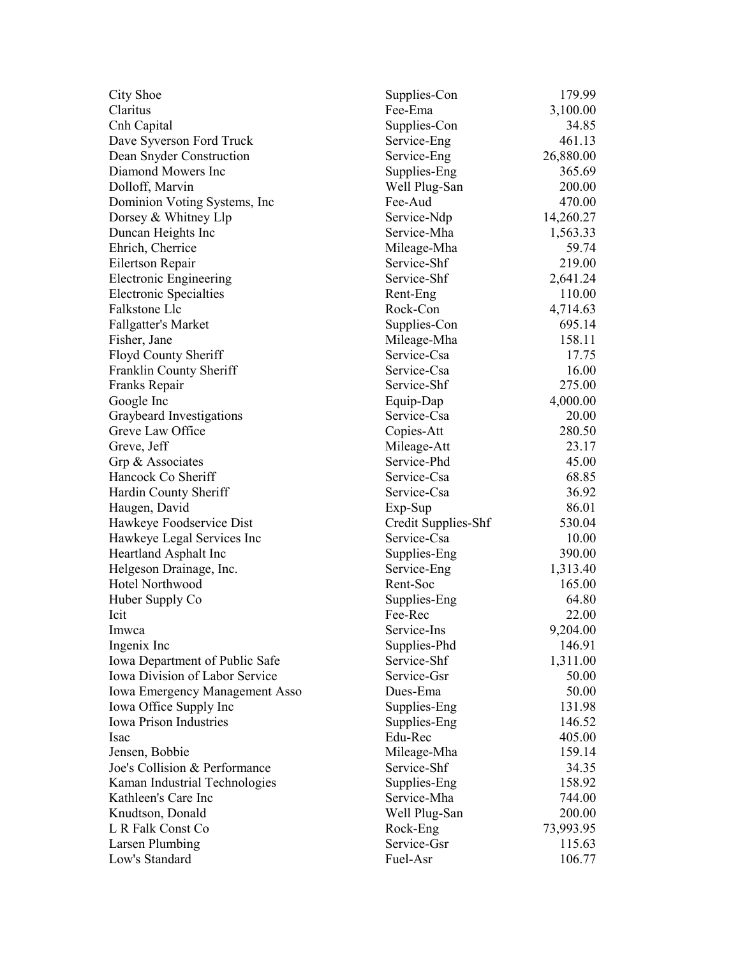| City Shoe                             | Supplies-Con        | 179.99    |
|---------------------------------------|---------------------|-----------|
| Claritus                              | Fee-Ema             | 3,100.00  |
| Cnh Capital                           | Supplies-Con        | 34.85     |
| Dave Syverson Ford Truck              | Service-Eng         | 461.13    |
| Dean Snyder Construction              | Service-Eng         | 26,880.00 |
| Diamond Mowers Inc                    | Supplies-Eng        | 365.69    |
| Dolloff, Marvin                       | Well Plug-San       | 200.00    |
| Dominion Voting Systems, Inc          | Fee-Aud             | 470.00    |
| Dorsey & Whitney Llp                  | Service-Ndp         | 14,260.27 |
| Duncan Heights Inc                    | Service-Mha         | 1,563.33  |
| Ehrich, Cherrice                      | Mileage-Mha         | 59.74     |
| Eilertson Repair                      | Service-Shf         | 219.00    |
| <b>Electronic Engineering</b>         | Service-Shf         | 2,641.24  |
| <b>Electronic Specialties</b>         | Rent-Eng            | 110.00    |
| Falkstone Llc                         | Rock-Con            | 4,714.63  |
| <b>Fallgatter's Market</b>            | Supplies-Con        | 695.14    |
| Fisher, Jane                          | Mileage-Mha         | 158.11    |
| Floyd County Sheriff                  | Service-Csa         | 17.75     |
| Franklin County Sheriff               | Service-Csa         | 16.00     |
| Franks Repair                         | Service-Shf         | 275.00    |
| Google Inc                            | Equip-Dap           | 4,000.00  |
| Graybeard Investigations              | Service-Csa         | 20.00     |
| Greve Law Office                      | Copies-Att          | 280.50    |
| Greve, Jeff                           | Mileage-Att         | 23.17     |
| Grp & Associates                      | Service-Phd         | 45.00     |
| Hancock Co Sheriff                    | Service-Csa         | 68.85     |
| Hardin County Sheriff                 | Service-Csa         | 36.92     |
| Haugen, David                         | $Exp-Sup$           | 86.01     |
| Hawkeye Foodservice Dist              | Credit Supplies-Shf | 530.04    |
| Hawkeye Legal Services Inc            | Service-Csa         | 10.00     |
| Heartland Asphalt Inc                 | Supplies-Eng        | 390.00    |
| Helgeson Drainage, Inc.               | Service-Eng         | 1,313.40  |
| Hotel Northwood                       | Rent-Soc            | 165.00    |
| Huber Supply Co                       | Supplies-Eng        | 64.80     |
| Icit                                  | Fee-Rec             | 22.00     |
| Imwca                                 | Service-Ins         | 9,204.00  |
| Ingenix Inc                           | Supplies-Phd        | 146.91    |
| Iowa Department of Public Safe        | Service-Shf         | 1,311.00  |
| <b>Iowa Division of Labor Service</b> | Service-Gsr         | 50.00     |
| <b>Iowa Emergency Management Asso</b> | Dues-Ema            | 50.00     |
| Iowa Office Supply Inc                | Supplies-Eng        | 131.98    |
| <b>Iowa Prison Industries</b>         | Supplies-Eng        | 146.52    |
| Isac                                  | Edu-Rec             | 405.00    |
| Jensen, Bobbie                        | Mileage-Mha         | 159.14    |
| Joe's Collision & Performance         | Service-Shf         | 34.35     |
| Kaman Industrial Technologies         | Supplies-Eng        | 158.92    |
| Kathleen's Care Inc                   | Service-Mha         | 744.00    |
| Knudtson, Donald                      | Well Plug-San       | 200.00    |
| L R Falk Const Co                     | Rock-Eng            | 73,993.95 |
| Larsen Plumbing                       | Service-Gsr         | 115.63    |
| Low's Standard                        | Fuel-Asr            | 106.77    |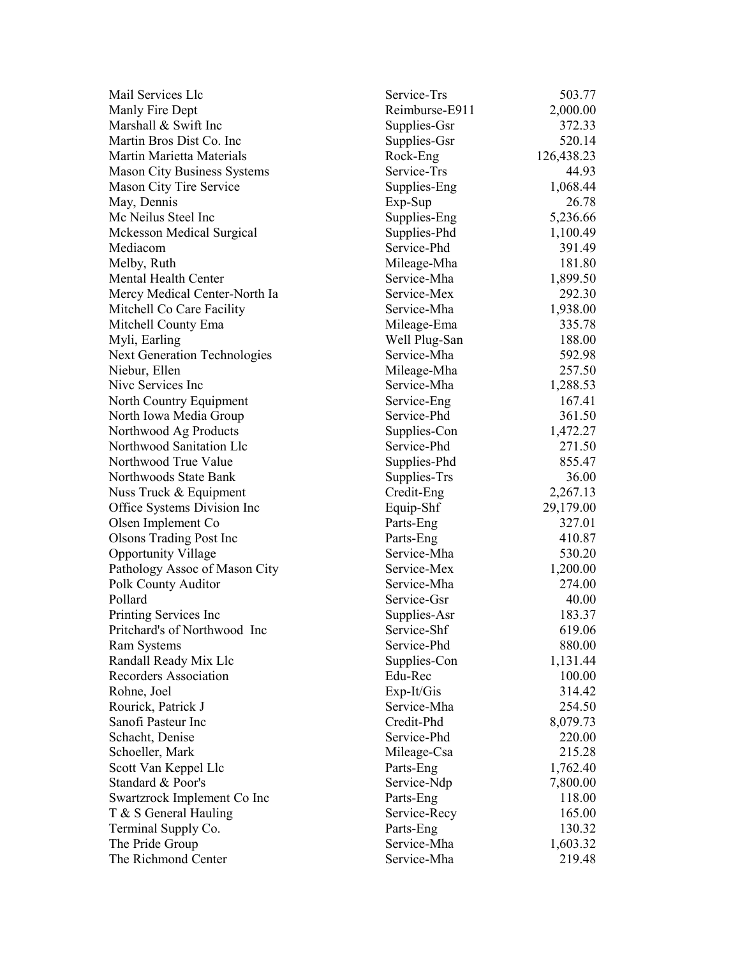| Mail Services Llc                   | Service-Trs              | 503.77     |
|-------------------------------------|--------------------------|------------|
| Manly Fire Dept                     | Reimburse-E911           | 2,000.00   |
| Marshall & Swift Inc                | Supplies-Gsr             | 372.33     |
| Martin Bros Dist Co. Inc.           | Supplies-Gsr             | 520.14     |
| Martin Marietta Materials           | Rock-Eng                 | 126,438.23 |
| <b>Mason City Business Systems</b>  | Service-Trs              | 44.93      |
| Mason City Tire Service             | Supplies-Eng             | 1,068.44   |
| May, Dennis                         | Exp-Sup                  | 26.78      |
| Mc Neilus Steel Inc                 | Supplies-Eng             | 5,236.66   |
| <b>Mckesson Medical Surgical</b>    | Supplies-Phd             | 1,100.49   |
| Mediacom                            | Service-Phd              | 391.49     |
| Melby, Ruth                         | Mileage-Mha              | 181.80     |
| Mental Health Center                | Service-Mha              | 1,899.50   |
| Mercy Medical Center-North Ia       | Service-Mex              | 292.30     |
| Mitchell Co Care Facility           | Service-Mha              | 1,938.00   |
| Mitchell County Ema                 | Mileage-Ema              | 335.78     |
| Myli, Earling                       | Well Plug-San            | 188.00     |
| <b>Next Generation Technologies</b> | Service-Mha              | 592.98     |
| Niebur, Ellen                       | Mileage-Mha              | 257.50     |
| Nive Services Inc                   | Service-Mha              | 1,288.53   |
| North Country Equipment             | Service-Eng              | 167.41     |
| North Iowa Media Group              | Service-Phd              | 361.50     |
| Northwood Ag Products               | Supplies-Con             | 1,472.27   |
| Northwood Sanitation Llc            | Service-Phd              | 271.50     |
| Northwood True Value                | Supplies-Phd             | 855.47     |
| Northwoods State Bank               | Supplies-Trs             | 36.00      |
|                                     |                          | 2,267.13   |
| Nuss Truck & Equipment              | Credit-Eng               | 29,179.00  |
| Office Systems Division Inc         | Equip-Shf                | 327.01     |
| Olsen Implement Co                  | Parts-Eng                |            |
| <b>Olsons Trading Post Inc</b>      | Parts-Eng<br>Service-Mha | 410.87     |
| <b>Opportunity Village</b>          | Service-Mex              | 530.20     |
| Pathology Assoc of Mason City       |                          | 1,200.00   |
| Polk County Auditor                 | Service-Mha              | 274.00     |
| Pollard                             | Service-Gsr              | 40.00      |
| Printing Services Inc               | Supplies-Asr             | 183.37     |
| Pritchard's of Northwood Inc        | Service-Shf              | 619.06     |
| Ram Systems                         | Service-Phd              | 880.00     |
| Randall Ready Mix Llc               | Supplies-Con             | 1,131.44   |
| Recorders Association               | Edu-Rec                  | 100.00     |
| Rohne, Joel                         | Exp-It/Gis               | 314.42     |
| Rourick, Patrick J                  | Service-Mha              | 254.50     |
| Sanofi Pasteur Inc                  | Credit-Phd               | 8,079.73   |
| Schacht, Denise                     | Service-Phd              | 220.00     |
| Schoeller, Mark                     | Mileage-Csa              | 215.28     |
| Scott Van Keppel Llc                | Parts-Eng                | 1,762.40   |
| Standard & Poor's                   | Service-Ndp              | 7,800.00   |
| Swartzrock Implement Co Inc         | Parts-Eng                | 118.00     |
| T & S General Hauling               | Service-Recy             | 165.00     |
| Terminal Supply Co.                 | Parts-Eng                | 130.32     |
| The Pride Group                     | Service-Mha              | 1,603.32   |
| The Richmond Center                 | Service-Mha              | 219.48     |